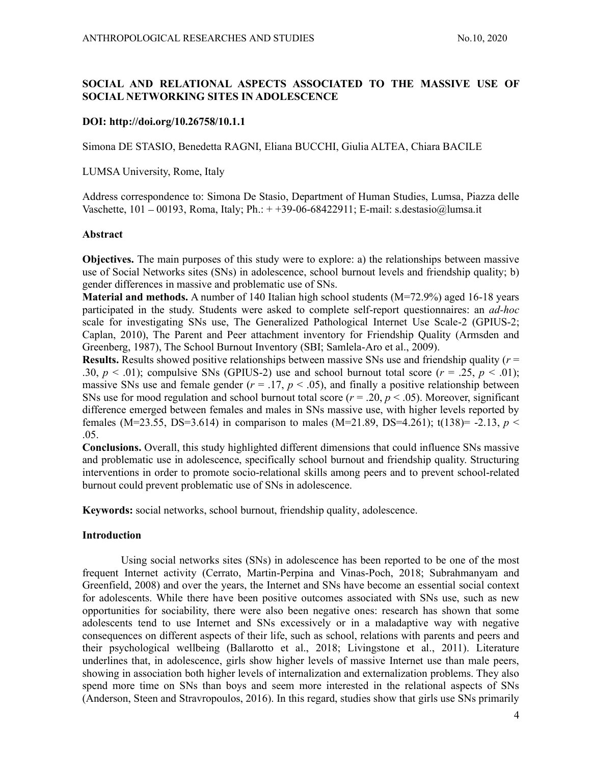# SOCIAL AND RELATIONAL ASPECTS ASSOCIATED TO THE MASSIVE USE OF SOCIAL NETWORKING SITES IN ADOLESCENCE

## DOI: http://doi.org/10.26758/10.1.1

Simona DE STASIO, Benedetta RAGNI, Eliana BUCCHI, Giulia ALTEA, Chiara BACILE

LUMSA University, Rome, Italy

Address correspondence to: Simona De Stasio, Department of Human Studies, Lumsa, Piazza delle Vaschette,  $101 - 00193$ , Roma, Italy; Ph.:  $+ +39-06-68422911$ ; E-mail: s.destasio@lumsa.it

## Abstract

Objectives. The main purposes of this study were to explore: a) the relationships between massive use of Social Networks sites (SNs) in adolescence, school burnout levels and friendship quality; b) gender differences in massive and problematic use of SNs.

**Material and methods.** A number of 140 Italian high school students  $(M=72.9%)$  aged 16-18 years participated in the study. Students were asked to complete self-report questionnaires: an ad-hoc scale for investigating SNs use, The Generalized Pathological Internet Use Scale-2 (GPIUS-2; Caplan, 2010), The Parent and Peer attachment inventory for Friendship Quality (Armsden and Greenberg, 1987), The School Burnout Inventory (SBI; Samlela-Aro et al., 2009).

**Results.** Results showed positive relationships between massive SNs use and friendship quality ( $r =$ .30,  $p < .01$ ); compulsive SNs (GPIUS-2) use and school burnout total score ( $r = .25$ ,  $p < .01$ ); massive SNs use and female gender ( $r = .17$ ,  $p < .05$ ), and finally a positive relationship between SNs use for mood regulation and school burnout total score ( $r = .20$ ,  $p < .05$ ). Moreover, significant difference emerged between females and males in SNs massive use, with higher levels reported by females (M=23.55, DS=3.614) in comparison to males (M=21.89, DS=4.261); t(138)= -2.13,  $p <$ .05.

Conclusions. Overall, this study highlighted different dimensions that could influence SNs massive and problematic use in adolescence, specifically school burnout and friendship quality. Structuring interventions in order to promote socio-relational skills among peers and to prevent school-related burnout could prevent problematic use of SNs in adolescence.

Keywords: social networks, school burnout, friendship quality, adolescence.

## Introduction

Using social networks sites (SNs) in adolescence has been reported to be one of the most frequent Internet activity (Cerrato, Martin-Perpina and Vinas-Poch, 2018; Subrahmanyam and Greenfield, 2008) and over the years, the Internet and SNs have become an essential social context for adolescents. While there have been positive outcomes associated with SNs use, such as new opportunities for sociability, there were also been negative ones: research has shown that some adolescents tend to use Internet and SNs excessively or in a maladaptive way with negative consequences on different aspects of their life, such as school, relations with parents and peers and their psychological wellbeing (Ballarotto et al., 2018; Livingstone et al., 2011). Literature underlines that, in adolescence, girls show higher levels of massive Internet use than male peers, showing in association both higher levels of internalization and externalization problems. They also spend more time on SNs than boys and seem more interested in the relational aspects of SNs (Anderson, Steen and Stravropoulos, 2016). In this regard, studies show that girls use SNs primarily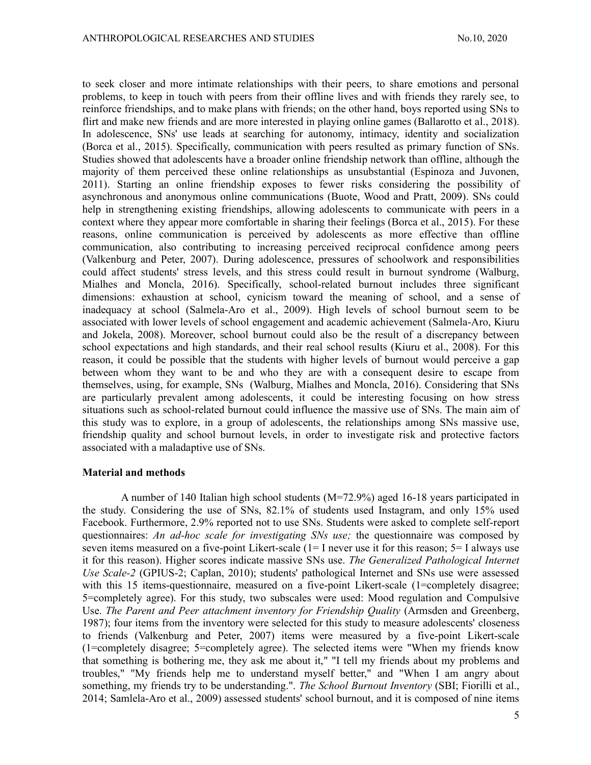to seek closer and more intimate relationships with their peers, to share emotions and personal problems, to keep in touch with peers from their offline lives and with friends they rarely see, to reinforce friendships, and to make plans with friends; on the other hand, boys reported using SNs to flirt and make new friends and are more interested in playing online games (Ballarotto et al., 2018). In adolescence, SNs' use leads at searching for autonomy, intimacy, identity and socialization (Borca et al., 2015). Specifically, communication with peers resulted as primary function of SNs. Studies showed that adolescents have a broader online friendship network than offline, although the majority of them perceived these online relationships as unsubstantial (Espinoza and Juvonen, 2011). Starting an online friendship exposes to fewer risks considering the possibility of asynchronous and anonymous online communications (Buote, Wood and Pratt, 2009). SNs could help in strengthening existing friendships, allowing adolescents to communicate with peers in a context where they appear more comfortable in sharing their feelings (Borca et al., 2015). For these reasons, online communication is perceived by adolescents as more effective than offline communication, also contributing to increasing perceived reciprocal confidence among peers (Valkenburg and Peter, 2007). During adolescence, pressures of schoolwork and responsibilities could affect students' stress levels, and this stress could result in burnout syndrome (Walburg, Mialhes and Moncla, 2016). Specifically, school-related burnout includes three significant dimensions: exhaustion at school, cynicism toward the meaning of school, and a sense of inadequacy at school (Salmela-Aro et al., 2009). High levels of school burnout seem to be associated with lower levels of school engagement and academic achievement (Salmela-Aro, Kiuru and Jokela, 2008). Moreover, school burnout could also be the result of a discrepancy between school expectations and high standards, and their real school results (Kiuru et al., 2008). For this reason, it could be possible that the students with higher levels of burnout would perceive a gap between whom they want to be and who they are with a consequent desire to escape from themselves, using, for example, SNs (Walburg, Mialhes and Moncla, 2016). Considering that SNs are particularly prevalent among adolescents, it could be interesting focusing on how stress situations such as school-related burnout could influence the massive use of SNs. The main aim of this study was to explore, in a group of adolescents, the relationships among SNs massive use, friendship quality and school burnout levels, in order to investigate risk and protective factors associated with a maladaptive use of SNs.

#### Material and methods

A number of 140 Italian high school students (M=72.9%) aged 16-18 years participated in the study. Considering the use of SNs, 82.1% of students used Instagram, and only 15% used Facebook. Furthermore, 2.9% reported not to use SNs. Students were asked to complete self-report questionnaires: An ad-hoc scale for investigating SNs use; the questionnaire was composed by seven items measured on a five-point Likert-scale (1= I never use it for this reason; 5= I always use it for this reason). Higher scores indicate massive SNs use. The Generalized Pathological Internet Use Scale-2 (GPIUS-2; Caplan, 2010); students' pathological Internet and SNs use were assessed with this 15 items-questionnaire, measured on a five-point Likert-scale (1=completely disagree; 5=completely agree). For this study, two subscales were used: Mood regulation and Compulsive Use. The Parent and Peer attachment inventory for Friendship Quality (Armsden and Greenberg, 1987); four items from the inventory were selected for this study to measure adolescents' closeness to friends (Valkenburg and Peter, 2007) items were measured by a five-point Likert-scale (1=completely disagree; 5=completely agree). The selected items were "When my friends know that something is bothering me, they ask me about it," "I tell my friends about my problems and troubles," "My friends help me to understand myself better," and "When I am angry about something, my friends try to be understanding.". The School Burnout Inventory (SBI; Fiorilli et al., 2014; Samlela-Aro et al., 2009) assessed students' school burnout, and it is composed of nine items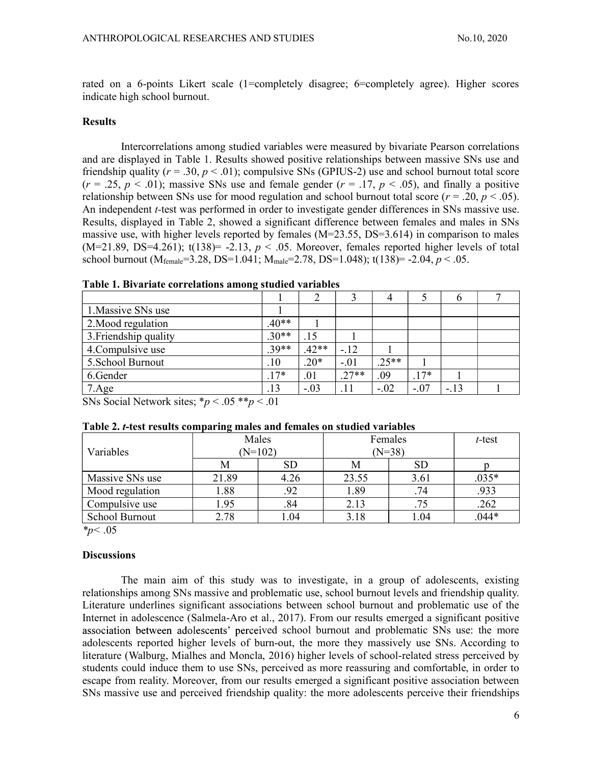rated on a 6-points Likert scale (1=completely disagree; 6=completely agree). Higher scores indicate high school burnout.

#### Results

Intercorrelations among studied variables were measured by bivariate Pearson correlations and are displayed in Table 1. Results showed positive relationships between massive SNs use and friendship quality ( $r = .30$ ,  $p < .01$ ); compulsive SNs (GPIUS-2) use and school burnout total score  $(r = .25, p < .01)$ ; massive SNs use and female gender  $(r = .17, p < .05)$ , and finally a positive relationship between SNs use for mood regulation and school burnout total score ( $r = .20$ ,  $p < .05$ ). An independent *t*-test was performed in order to investigate gender differences in SNs massive use. Results, displayed in Table 2, showed a significant difference between females and males in SNs massive use, with higher levels reported by females  $(M=23.55, DS=3.614)$  in comparison to males  $(M=21.89, DS=4.261)$ ; t(138) = -2.13,  $p < .05$ . Moreover, females reported higher levels of total school burnout ( $M_{female} = 3.28$ , DS=1.041;  $M_{male} = 2.78$ , DS=1.048); t(138)= -2.04,  $p < .05$ .

Table 1. Bivariate correlations among studied variables

|                                                                                                  |                           |         |         | 4       |        | h     |  |
|--------------------------------------------------------------------------------------------------|---------------------------|---------|---------|---------|--------|-------|--|
| 1. Massive SNs use                                                                               |                           |         |         |         |        |       |  |
| 2. Mood regulation                                                                               | $.40**$                   |         |         |         |        |       |  |
| 3. Friendship quality                                                                            | $.30**$                   | .15     |         |         |        |       |  |
| 4. Compulsive use                                                                                | $.39**$                   | $.42**$ | $-.12$  |         |        |       |  |
| 5. School Burnout                                                                                | .10                       | $.20*$  | $-.01$  | $.25**$ |        |       |  |
| 6.Gender                                                                                         | $7*$<br>$\cdot$ 1 $\cdot$ | .01     | $.27**$ | .09     | $.17*$ |       |  |
| 7.Age                                                                                            | .13                       | $-.03$  | .11     | $-.02$  | $-.07$ | $-13$ |  |
| $C1$ $C2$ $C1$ $C2$<br>$\sim$ $\sim$ $\sim$ $\sim$<br>$\mathbf{v}$ . $\mathbf{v}$ , $\mathbf{v}$ | $\sim$ 0.1                |         |         |         |        |       |  |

SNs Social Network sites;  $\gamma p < .05 \times p < .01$ 

|                       | Males |           |          |           |         |
|-----------------------|-------|-----------|----------|-----------|---------|
|                       |       |           | Females  | t-test    |         |
| Variables             |       | $(N=102)$ | $(N=38)$ |           |         |
|                       | Μ     | <b>SD</b> | Μ        | <b>SD</b> |         |
| Massive SNs use       | 21.89 | 4.26      | 23.55    | 3.61      | $.035*$ |
| Mood regulation       | 1.88  | .92       | 1.89     | .74       | .933    |
| Compulsive use        | 1.95  | .84       | 2.13     | .75       | .262    |
| <b>School Burnout</b> | 2.78  | .04       | 3.18     | 04.،      | $.044*$ |

| Table 2. t-test results comparing males and females on studied variables |  |
|--------------------------------------------------------------------------|--|
|                                                                          |  |

 $*_p$  < .05

## **Discussions**

The main aim of this study was to investigate, in a group of adolescents, existing relationships among SNs massive and problematic use, school burnout levels and friendship quality. Literature underlines significant associations between school burnout and problematic use of the Internet in adolescence (Salmela-Aro et al., 2017). From our results emerged a significant positive association between adolescents' perceived school burnout and problematic SNs use: the more adolescents reported higher levels of burn-out, the more they massively use SNs. According to literature (Walburg, Mialhes and Moncla, 2016) higher levels of school-related stress perceived by students could induce them to use SNs, perceived as more reassuring and comfortable, in order to escape from reality. Moreover, from our results emerged a significant positive association between SNs massive use and perceived friendship quality: the more adolescents perceive their friendships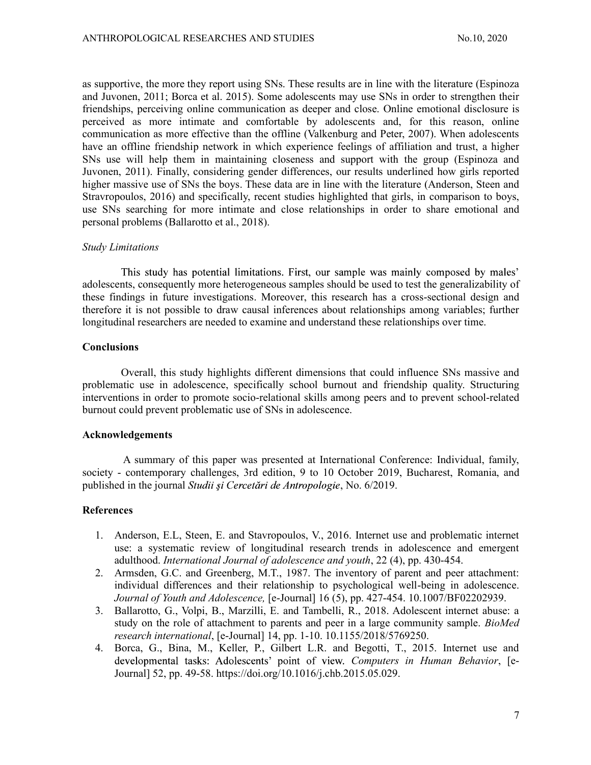as supportive, the more they report using SNs. These results are in line with the literature (Espinoza and Juvonen, 2011; Borca et al. 2015). Some adolescents may use SNs in order to strengthen their friendships, perceiving online communication as deeper and close. Online emotional disclosure is perceived as more intimate and comfortable by adolescents and, for this reason, online communication as more effective than the offline (Valkenburg and Peter, 2007). When adolescents have an offline friendship network in which experience feelings of affiliation and trust, a higher SNs use will help them in maintaining closeness and support with the group (Espinoza and Juvonen, 2011). Finally, considering gender differences, our results underlined how girls reported higher massive use of SNs the boys. These data are in line with the literature (Anderson, Steen and Stravropoulos, 2016) and specifically, recent studies highlighted that girls, in comparison to boys, use SNs searching for more intimate and close relationships in order to share emotional and personal problems (Ballarotto et al., 2018).

#### Study Limitations

This study has potential limitations. First, our sample was mainly composed by males' adolescents, consequently more heterogeneous samples should be used to test the generalizability of these findings in future investigations. Moreover, this research has a cross-sectional design and therefore it is not possible to draw causal inferences about relationships among variables; further longitudinal researchers are needed to examine and understand these relationships over time.

#### **Conclusions**

Overall, this study highlights different dimensions that could influence SNs massive and problematic use in adolescence, specifically school burnout and friendship quality. Structuring interventions in order to promote socio-relational skills among peers and to prevent school-related burnout could prevent problematic use of SNs in adolescence.

#### Acknowledgements

A summary of this paper was presented at International Conference: Individual, family, society - contemporary challenges, 3rd edition, 9 to 10 October 2019, Bucharest, Romania, and published in the journal Studii și Cercetări de Antropologie, No. 6/2019.

## **References**

- 1. Anderson, E.L, Steen, E. and Stavropoulos, V., 2016. Internet use and problematic internet use: a systematic review of longitudinal research trends in adolescence and emergent adulthood. International Journal of adolescence and youth, 22 (4), pp. 430-454.
- 2. Armsden, G.C. and Greenberg, M.T., 1987. The inventory of parent and peer attachment: individual differences and their relationship to psychological well-being in adolescence. Journal of Youth and Adolescence, [e-Journal] 16 (5), pp. 427-454. 10.1007/BF02202939.
- 3. Ballarotto, G., Volpi, B., Marzilli, E. and Tambelli, R., 2018. Adolescent internet abuse: a study on the role of attachment to parents and peer in a large community sample. BioMed research international, [e-Journal] 14, pp. 1-10. 10.1155/2018/5769250.
- 4. Borca, G., Bina, M., Keller, P., Gilbert L.R. and Begotti, T., 2015. Internet use and developmental tasks: Adolescents' point of view. Computers in Human Behavior, [e-Journal] 52, pp. 49-58. https://doi.org/10.1016/j.chb.2015.05.029.